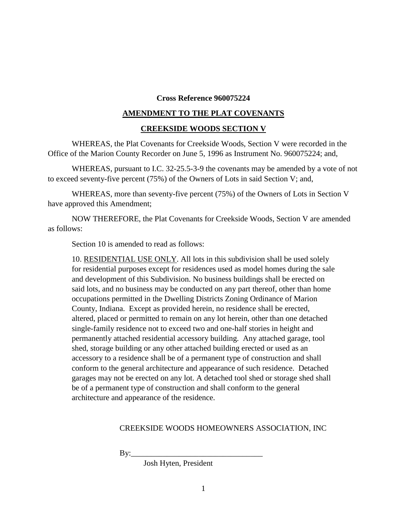## **Cross Reference 960075224**

## **AMENDMENT TO THE PLAT COVENANTS**

## **CREEKSIDE WOODS SECTION V**

WHEREAS, the Plat Covenants for Creekside Woods, Section V were recorded in the Office of the Marion County Recorder on June 5, 1996 as Instrument No. 960075224; and,

WHEREAS, pursuant to I.C. 32-25.5-3-9 the covenants may be amended by a vote of not to exceed seventy-five percent (75%) of the Owners of Lots in said Section V; and,

WHEREAS, more than seventy-five percent (75%) of the Owners of Lots in Section V have approved this Amendment;

NOW THEREFORE, the Plat Covenants for Creekside Woods, Section V are amended as follows:

Section 10 is amended to read as follows:

10. RESIDENTIAL USE ONLY. All lots in this subdivision shall be used solely for residential purposes except for residences used as model homes during the sale and development of this Subdivision. No business buildings shall be erected on said lots, and no business may be conducted on any part thereof, other than home occupations permitted in the Dwelling Districts Zoning Ordinance of Marion County, Indiana. Except as provided herein, no residence shall be erected, altered, placed or permitted to remain on any lot herein, other than one detached single-family residence not to exceed two and one-half stories in height and permanently attached residential accessory building. Any attached garage, tool shed, storage building or any other attached building erected or used as an accessory to a residence shall be of a permanent type of construction and shall conform to the general architecture and appearance of such residence. Detached garages may not be erected on any lot. A detached tool shed or storage shed shall be of a permanent type of construction and shall conform to the general architecture and appearance of the residence.

## CREEKSIDE WOODS HOMEOWNERS ASSOCIATION, INC

 $\mathbf{B}v$ :

Josh Hyten, President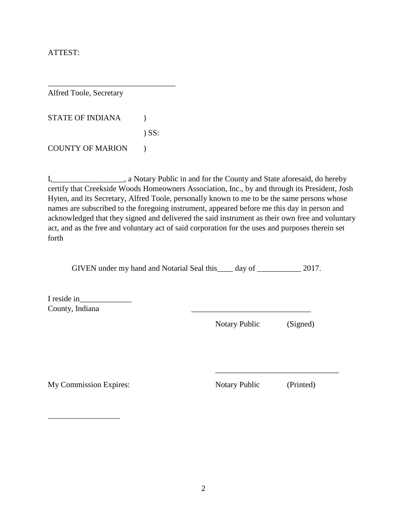ATTEST:

Alfred Toole, Secretary

| <b>STATE OF INDIANA</b> |            |
|-------------------------|------------|
|                         | $\sum$ SS: |
| <b>COUNTY OF MARION</b> |            |

 $\overline{\phantom{a}}$  , where  $\overline{\phantom{a}}$  , where  $\overline{\phantom{a}}$  ,  $\overline{\phantom{a}}$  ,  $\overline{\phantom{a}}$  ,  $\overline{\phantom{a}}$  ,  $\overline{\phantom{a}}$  ,  $\overline{\phantom{a}}$  ,  $\overline{\phantom{a}}$  ,  $\overline{\phantom{a}}$  ,  $\overline{\phantom{a}}$  ,  $\overline{\phantom{a}}$  ,  $\overline{\phantom{a}}$  ,  $\overline{\phantom{a}}$  ,  $\overline{\phantom{a}}$  ,

I,\_\_\_\_\_\_\_\_\_\_\_\_\_\_\_\_\_\_, a Notary Public in and for the County and State aforesaid, do hereby certify that Creekside Woods Homeowners Association, Inc., by and through its President, Josh Hyten, and its Secretary, Alfred Toole, personally known to me to be the same persons whose names are subscribed to the foregoing instrument, appeared before me this day in person and acknowledged that they signed and delivered the said instrument as their own free and voluntary act, and as the free and voluntary act of said corporation for the uses and purposes therein set forth

GIVEN under my hand and Notarial Seal this \_\_\_\_ day of \_\_\_\_\_\_\_\_\_\_ 2017.

I reside in County, Indiana

Notary Public (Signed)

My Commission Expires: Notary Public (Printed)

\_\_\_\_\_\_\_\_\_\_\_\_\_\_\_\_\_\_

\_\_\_\_\_\_\_\_\_\_\_\_\_\_\_\_\_\_\_\_\_\_\_\_\_\_\_\_\_\_\_